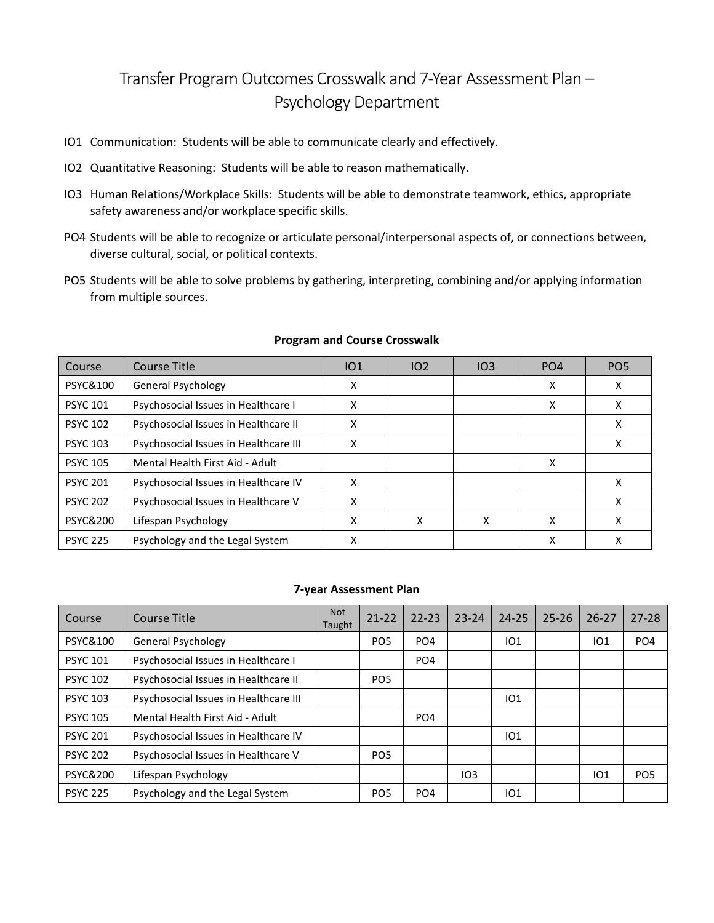## Transfer Program Outcomes Crosswalk and 7-Year Assessment Plan – Psychology Department

- IO1 Communication: Students will be able to communicate clearly and effectively.
- IO2 Quantitative Reasoning: Students will be able to reason mathematically.
- IO3 Human Relations/Workplace Skills: Students will be able to demonstrate teamwork, ethics, appropriate safety awareness and/or workplace specific skills.
- PO4 Students will be able to recognize or articulate personal/interpersonal aspects of, or connections between, diverse cultural, social, or political contexts.
- PO5 Students will be able to solve problems by gathering, interpreting, combining and/or applying information from multiple sources.

| Course              | Course Title                          | 101 | 102 | IO3 | PO <sub>4</sub> | PO <sub>5</sub> |
|---------------------|---------------------------------------|-----|-----|-----|-----------------|-----------------|
| <b>PSYC&amp;100</b> | General Psychology                    | х   |     |     | х               | x               |
| <b>PSYC 101</b>     | Psychosocial Issues in Healthcare I   | X   |     |     | X               | x               |
| <b>PSYC 102</b>     | Psychosocial Issues in Healthcare II  | X   |     |     |                 | X               |
| <b>PSYC 103</b>     | Psychosocial Issues in Healthcare III | X   |     |     |                 | x               |
| <b>PSYC 105</b>     | Mental Health First Aid - Adult       |     |     |     | X               |                 |
| <b>PSYC 201</b>     | Psychosocial Issues in Healthcare IV  | X   |     |     |                 | x               |
| <b>PSYC 202</b>     | Psychosocial Issues in Healthcare V   | X   |     |     |                 | x               |
| <b>PSYC&amp;200</b> | Lifespan Psychology                   | x   | X   | X   | x               | x               |
| <b>PSYC 225</b>     | Psychology and the Legal System       | x   |     |     | х               | x               |

## **Program and Course Crosswalk**

## **7-year Assessment Plan**

| Course              | Course Title                          | <b>Not</b><br>Taught | $21 - 22$       | $22 - 23$       | $23 - 24$ | $24 - 25$ | $25 - 26$ | $26 - 27$ | $27 - 28$       |
|---------------------|---------------------------------------|----------------------|-----------------|-----------------|-----------|-----------|-----------|-----------|-----------------|
| <b>PSYC&amp;100</b> | General Psychology                    |                      | PO <sub>5</sub> | PO <sub>4</sub> |           | IO1       |           | 101       | PO <sub>4</sub> |
| <b>PSYC 101</b>     | Psychosocial Issues in Healthcare I   |                      |                 | PO <sub>4</sub> |           |           |           |           |                 |
| <b>PSYC 102</b>     | Psychosocial Issues in Healthcare II  |                      | PO <sub>5</sub> |                 |           |           |           |           |                 |
| <b>PSYC 103</b>     | Psychosocial Issues in Healthcare III |                      |                 |                 |           | IO1       |           |           |                 |
| <b>PSYC 105</b>     | Mental Health First Aid - Adult       |                      |                 | PO <sub>4</sub> |           |           |           |           |                 |
| <b>PSYC 201</b>     | Psychosocial Issues in Healthcare IV  |                      |                 |                 |           | IO1       |           |           |                 |
| <b>PSYC 202</b>     | Psychosocial Issues in Healthcare V   |                      | PO <sub>5</sub> |                 |           |           |           |           |                 |
| <b>PSYC&amp;200</b> | Lifespan Psychology                   |                      |                 |                 | IO3       |           |           | 101       | PO <sub>5</sub> |
| <b>PSYC 225</b>     | Psychology and the Legal System       |                      | PO <sub>5</sub> | PO <sub>4</sub> |           | IO1       |           |           |                 |